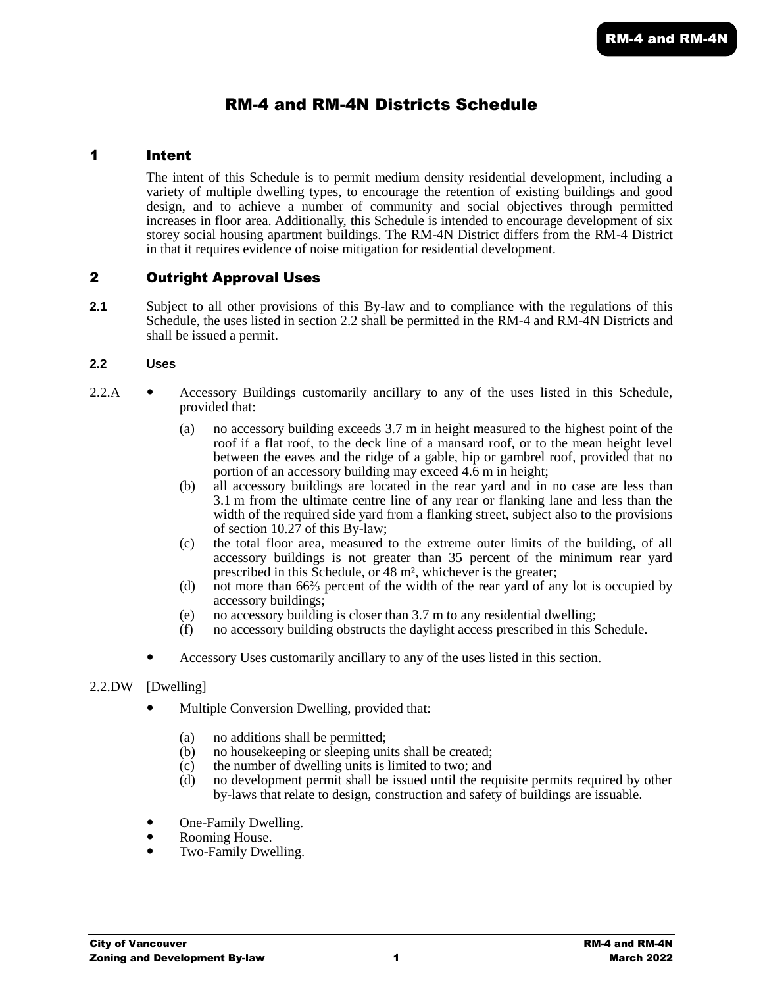# RM-4 and RM-4N Districts Schedule

## 1 Intent

The intent of this Schedule is to permit medium density residential development, including a variety of multiple dwelling types, to encourage the retention of existing buildings and good design, and to achieve a number of community and social objectives through permitted increases in floor area. Additionally, this Schedule is intended to encourage development of six storey social housing apartment buildings. The RM-4N District differs from the RM-4 District in that it requires evidence of noise mitigation for residential development.

# 2 Outright Approval Uses

**2.1** Subject to all other provisions of this By-law and to compliance with the regulations of this Schedule, the uses listed in section 2.2 shall be permitted in the RM-4 and RM-4N Districts and shall be issued a permit.

## **2.2 Uses**

- 2.2.A Accessory Buildings customarily ancillary to any of the uses listed in this Schedule, provided that:
	- (a) no accessory building exceeds 3.7 m in height measured to the highest point of the roof if a flat roof, to the deck line of a mansard roof, or to the mean height level between the eaves and the ridge of a gable, hip or gambrel roof, provided that no portion of an accessory building may exceed 4.6 m in height;
	- (b) all accessory buildings are located in the rear yard and in no case are less than 3.1 m from the ultimate centre line of any rear or flanking lane and less than the width of the required side yard from a flanking street, subject also to the provisions of section 10.27 of this By-law;
	- (c) the total floor area, measured to the extreme outer limits of the building, of all accessory buildings is not greater than 35 percent of the minimum rear yard prescribed in this Schedule, or 48 m², whichever is the greater;
	- (d) not more than 66⅔ percent of the width of the rear yard of any lot is occupied by accessory buildings;
	- (e) no accessory building is closer than 3.7 m to any residential dwelling;
	- (f) no accessory building obstructs the daylight access prescribed in this Schedule.
	- Accessory Uses customarily ancillary to any of the uses listed in this section.

## 2.2.DW [Dwelling]

- Multiple Conversion Dwelling, provided that:
	- (a) no additions shall be permitted;
	- (b) no housekeeping or sleeping units shall be created;
	- (c) the number of dwelling units is limited to two; and  $(d)$  no development permit shall be issued until the rec
	- no development permit shall be issued until the requisite permits required by other by-laws that relate to design, construction and safety of buildings are issuable.
- One-Family Dwelling.
- Rooming House.
- Two-Family Dwelling.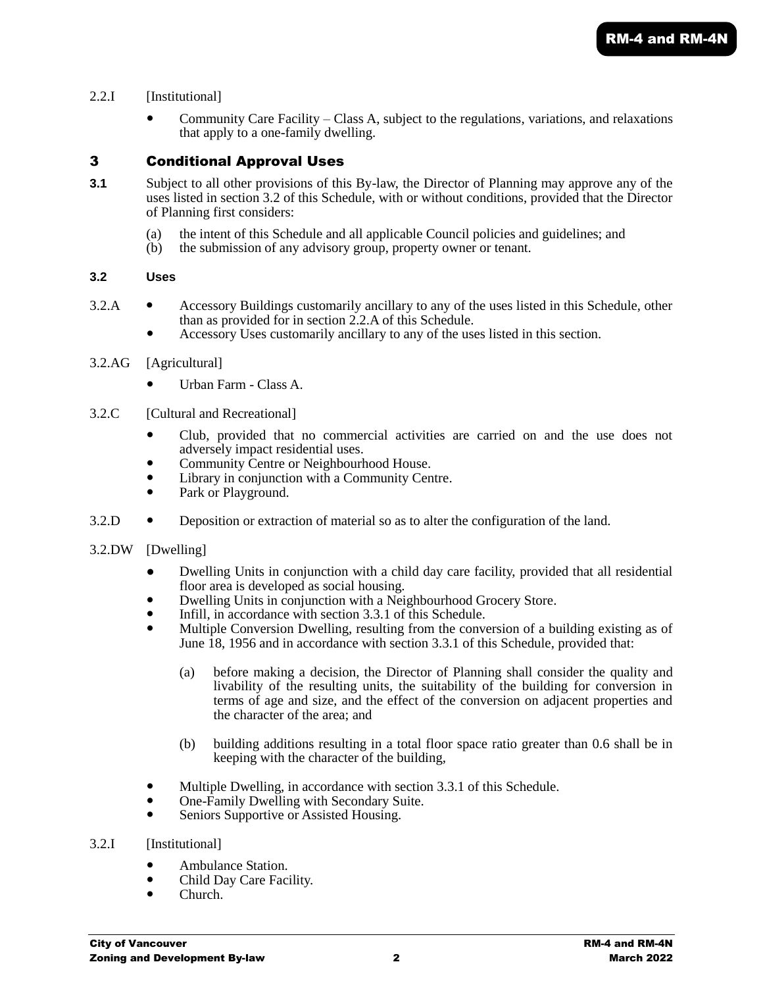## 2.2.I [Institutional]

 Community Care Facility – Class A, subject to the regulations, variations, and relaxations that apply to a one-family dwelling.

# 3 Conditional Approval Uses

- **3.1** Subject to all other provisions of this By-law, the Director of Planning may approve any of the uses listed in section 3.2 of this Schedule, with or without conditions, provided that the Director of Planning first considers:
	- (a) the intent of this Schedule and all applicable Council policies and guidelines; and
	- (b) the submission of any advisory group, property owner or tenant.

## **3.2 Uses**

- 3.2.A Accessory Buildings customarily ancillary to any of the uses listed in this Schedule, other than as provided for in section 2.2.A of this Schedule.
	- Accessory Uses customarily ancillary to any of the uses listed in this section.
- 3.2.AG [Agricultural]
	- Urban Farm Class A.
- 3.2.C [Cultural and Recreational]
	- Club, provided that no commercial activities are carried on and the use does not adversely impact residential uses.
	- Community Centre or Neighbourhood House.
	- Library in conjunction with a Community Centre.
	- Park or Playground.
- 3.2.D Deposition or extraction of material so as to alter the configuration of the land.
- 3.2.DW [Dwelling]
	- Dwelling Units in conjunction with a child day care facility, provided that all residential floor area is developed as social housing.
	- Dwelling Units in conjunction with a Neighbourhood Grocery Store.
	- Infill, in accordance with section 3.3.1 of this Schedule.
	- Multiple Conversion Dwelling, resulting from the conversion of a building existing as of June 18, 1956 and in accordance with section 3.3.1 of this Schedule, provided that:
		- (a) before making a decision, the Director of Planning shall consider the quality and livability of the resulting units, the suitability of the building for conversion in terms of age and size, and the effect of the conversion on adjacent properties and the character of the area; and
		- (b) building additions resulting in a total floor space ratio greater than 0.6 shall be in keeping with the character of the building,
	- Multiple Dwelling, in accordance with section 3.3.1 of this Schedule.
	- One-Family Dwelling with Secondary Suite.
	- Seniors Supportive or Assisted Housing.
- 3.2.I [Institutional]
	- Ambulance Station.<br>• Child Day Care Fac
	- Child Day Care Facility.
	- Church.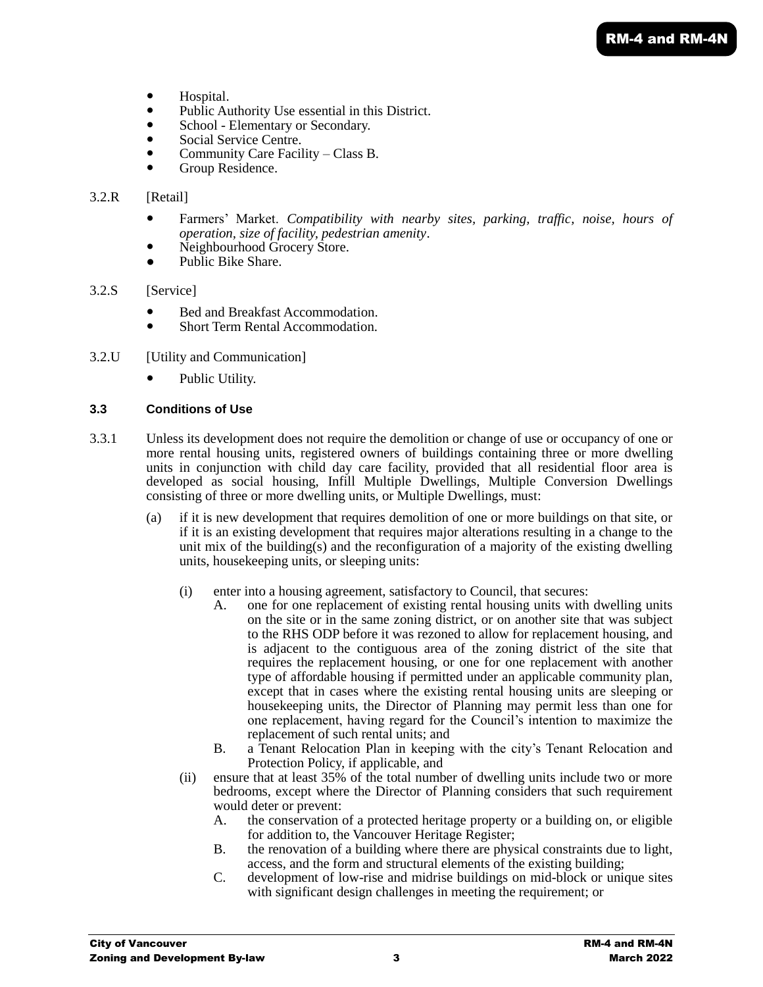- Hospital.
- Public Authority Use essential in this District.
- School Elementary or Secondary.
- Social Service Centre.
- Community Care Facility Class B.
- Group Residence.

## 3.2.R [Retail]

- Farmers' Market. *Compatibility with nearby sites, parking, traffic, noise, hours of operation, size of facility, pedestrian amenity*.
- Neighbourhood Grocery Store.
- Public Bike Share.
- 3.2.S [Service]
	- Bed and Breakfast Accommodation.
	- Short Term Rental Accommodation.
- 3.2.U [Utility and Communication]
	- Public Utility.

## **3.3 Conditions of Use**

- 3.3.1 Unless its development does not require the demolition or change of use or occupancy of one or more rental housing units, registered owners of buildings containing three or more dwelling units in conjunction with child day care facility, provided that all residential floor area is developed as social housing, Infill Multiple Dwellings, Multiple Conversion Dwellings consisting of three or more dwelling units, or Multiple Dwellings, must:
	- (a) if it is new development that requires demolition of one or more buildings on that site, or if it is an existing development that requires major alterations resulting in a change to the unit mix of the building(s) and the reconfiguration of a majority of the existing dwelling units, housekeeping units, or sleeping units:
		- (i) enter into a housing agreement, satisfactory to Council, that secures:
			- A. one for one replacement of existing rental housing units with dwelling units on the site or in the same zoning district, or on another site that was subject to the RHS ODP before it was rezoned to allow for replacement housing, and is adjacent to the contiguous area of the zoning district of the site that requires the replacement housing, or one for one replacement with another type of affordable housing if permitted under an applicable community plan, except that in cases where the existing rental housing units are sleeping or housekeeping units, the Director of Planning may permit less than one for one replacement, having regard for the Council's intention to maximize the replacement of such rental units; and
			- B. a Tenant Relocation Plan in keeping with the city's Tenant Relocation and Protection Policy, if applicable, and
		- (ii) ensure that at least 35% of the total number of dwelling units include two or more bedrooms, except where the Director of Planning considers that such requirement would deter or prevent:
			- A. the conservation of a protected heritage property or a building on, or eligible for addition to, the Vancouver Heritage Register;
			- B. the renovation of a building where there are physical constraints due to light, access, and the form and structural elements of the existing building;
			- C. development of low-rise and midrise buildings on mid-block or unique sites with significant design challenges in meeting the requirement; or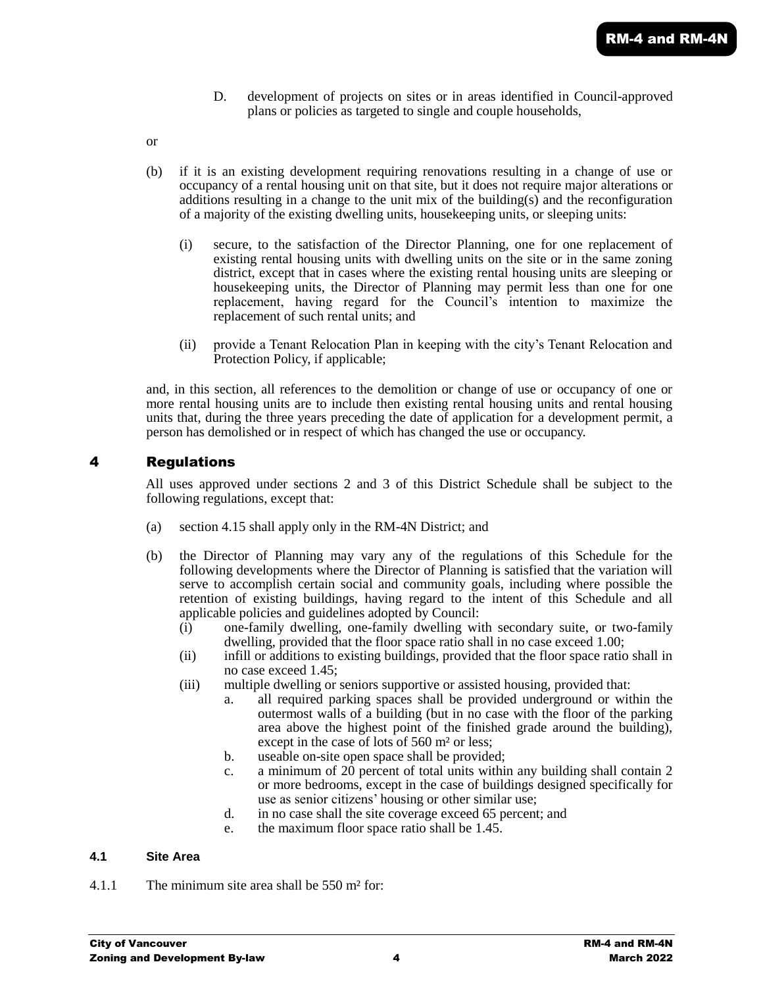- D. development of projects on sites or in areas identified in Council-approved plans or policies as targeted to single and couple households,
- or
- (b) if it is an existing development requiring renovations resulting in a change of use or occupancy of a rental housing unit on that site, but it does not require major alterations or additions resulting in a change to the unit mix of the building(s) and the reconfiguration of a majority of the existing dwelling units, housekeeping units, or sleeping units:
	- (i) secure, to the satisfaction of the Director Planning, one for one replacement of existing rental housing units with dwelling units on the site or in the same zoning district, except that in cases where the existing rental housing units are sleeping or housekeeping units, the Director of Planning may permit less than one for one replacement, having regard for the Council's intention to maximize the replacement of such rental units; and
	- (ii) provide a Tenant Relocation Plan in keeping with the city's Tenant Relocation and Protection Policy, if applicable;

and, in this section, all references to the demolition or change of use or occupancy of one or more rental housing units are to include then existing rental housing units and rental housing units that, during the three years preceding the date of application for a development permit, a person has demolished or in respect of which has changed the use or occupancy.

# 4 Regulations

All uses approved under sections 2 and 3 of this District Schedule shall be subject to the following regulations, except that:

- (a) section 4.15 shall apply only in the RM-4N District; and
- (b) the Director of Planning may vary any of the regulations of this Schedule for the following developments where the Director of Planning is satisfied that the variation will serve to accomplish certain social and community goals, including where possible the retention of existing buildings, having regard to the intent of this Schedule and all applicable policies and guidelines adopted by Council:
	- (i) one-family dwelling, one-family dwelling with secondary suite, or two-family dwelling, provided that the floor space ratio shall in no case exceed 1.00;
	- (ii) infill or additions to existing buildings, provided that the floor space ratio shall in no case exceed 1.45;
	- (iii) multiple dwelling or seniors supportive or assisted housing, provided that:
		- a. all required parking spaces shall be provided underground or within the outermost walls of a building (but in no case with the floor of the parking area above the highest point of the finished grade around the building), except in the case of lots of 560 m² or less;
		- b. useable on-site open space shall be provided;
		- c. a minimum of 20 percent of total units within any building shall contain 2 or more bedrooms, except in the case of buildings designed specifically for use as senior citizens' housing or other similar use;
		- d. in no case shall the site coverage exceed 65 percent; and
		- e. the maximum floor space ratio shall be 1.45.

## **4.1 Site Area**

4.1.1 The minimum site area shall be 550 m² for: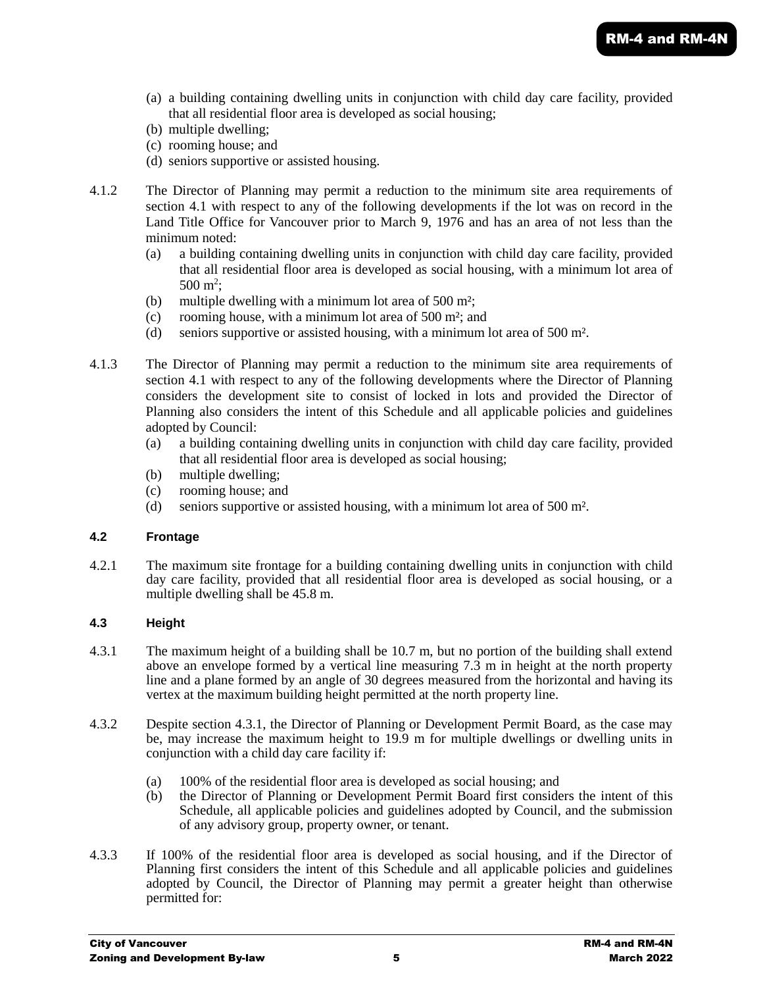- (a) a building containing dwelling units in conjunction with child day care facility, provided that all residential floor area is developed as social housing;
- (b) multiple dwelling;
- (c) rooming house; and
- (d) seniors supportive or assisted housing.
- 4.1.2 The Director of Planning may permit a reduction to the minimum site area requirements of section 4.1 with respect to any of the following developments if the lot was on record in the Land Title Office for Vancouver prior to March 9, 1976 and has an area of not less than the minimum noted:
	- (a) a building containing dwelling units in conjunction with child day care facility, provided that all residential floor area is developed as social housing, with a minimum lot area of  $500 \text{ m}^2$ ;
	- (b) multiple dwelling with a minimum lot area of 500 m²;
	- (c) rooming house, with a minimum lot area of 500 m²; and
	- (d) seniors supportive or assisted housing, with a minimum lot area of 500 m².
- 4.1.3 The Director of Planning may permit a reduction to the minimum site area requirements of section 4.1 with respect to any of the following developments where the Director of Planning considers the development site to consist of locked in lots and provided the Director of Planning also considers the intent of this Schedule and all applicable policies and guidelines adopted by Council:
	- (a) a building containing dwelling units in conjunction with child day care facility, provided that all residential floor area is developed as social housing;
	- (b) multiple dwelling;
	- (c) rooming house; and
	- (d) seniors supportive or assisted housing, with a minimum lot area of 500 m².

## **4.2 Frontage**

4.2.1 The maximum site frontage for a building containing dwelling units in conjunction with child day care facility, provided that all residential floor area is developed as social housing, or a multiple dwelling shall be 45.8 m.

## **4.3 Height**

- 4.3.1 The maximum height of a building shall be 10.7 m, but no portion of the building shall extend above an envelope formed by a vertical line measuring  $7.\overline{3}$  m in height at the north property line and a plane formed by an angle of 30 degrees measured from the horizontal and having its vertex at the maximum building height permitted at the north property line.
- 4.3.2 Despite section 4.3.1, the Director of Planning or Development Permit Board, as the case may be, may increase the maximum height to 19.9 m for multiple dwellings or dwelling units in conjunction with a child day care facility if:
	- (a) 100% of the residential floor area is developed as social housing; and
	- (b) the Director of Planning or Development Permit Board first considers the intent of this Schedule, all applicable policies and guidelines adopted by Council, and the submission of any advisory group, property owner, or tenant.
- 4.3.3 If 100% of the residential floor area is developed as social housing, and if the Director of Planning first considers the intent of this Schedule and all applicable policies and guidelines adopted by Council, the Director of Planning may permit a greater height than otherwise permitted for: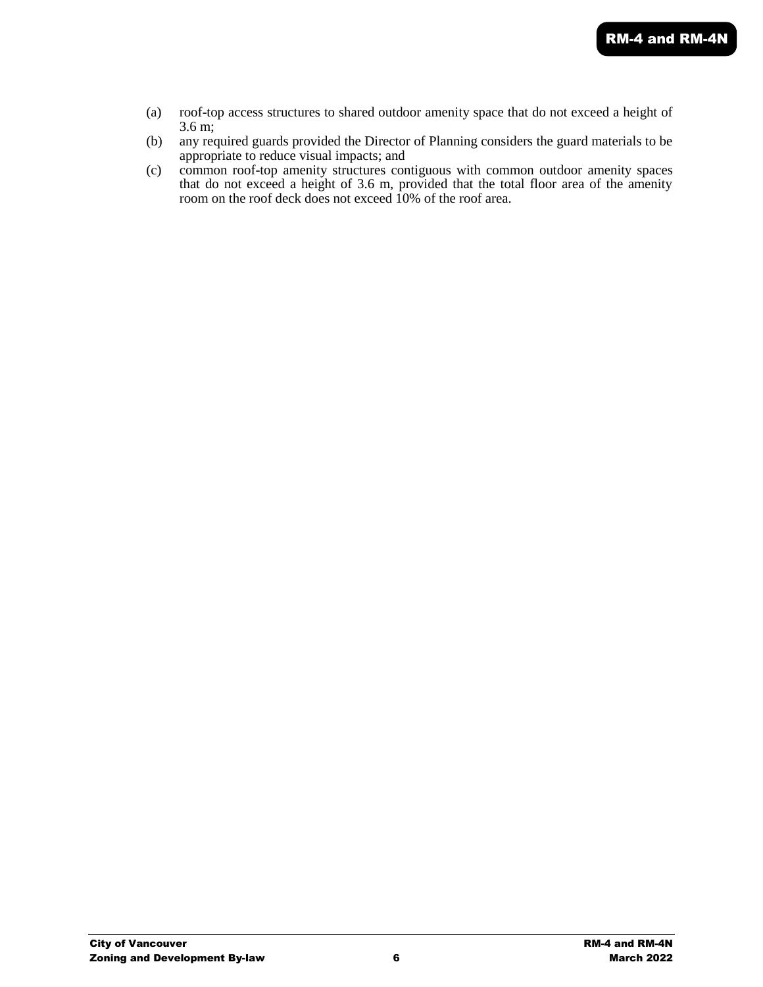- (a) roof-top access structures to shared outdoor amenity space that do not exceed a height of 3.6 m;
- (b) any required guards provided the Director of Planning considers the guard materials to be appropriate to reduce visual impacts; and
- (c) common roof-top amenity structures contiguous with common outdoor amenity spaces that do not exceed a height of 3.6 m, provided that the total floor area of the amenity room on the roof deck does not exceed 10% of the roof area.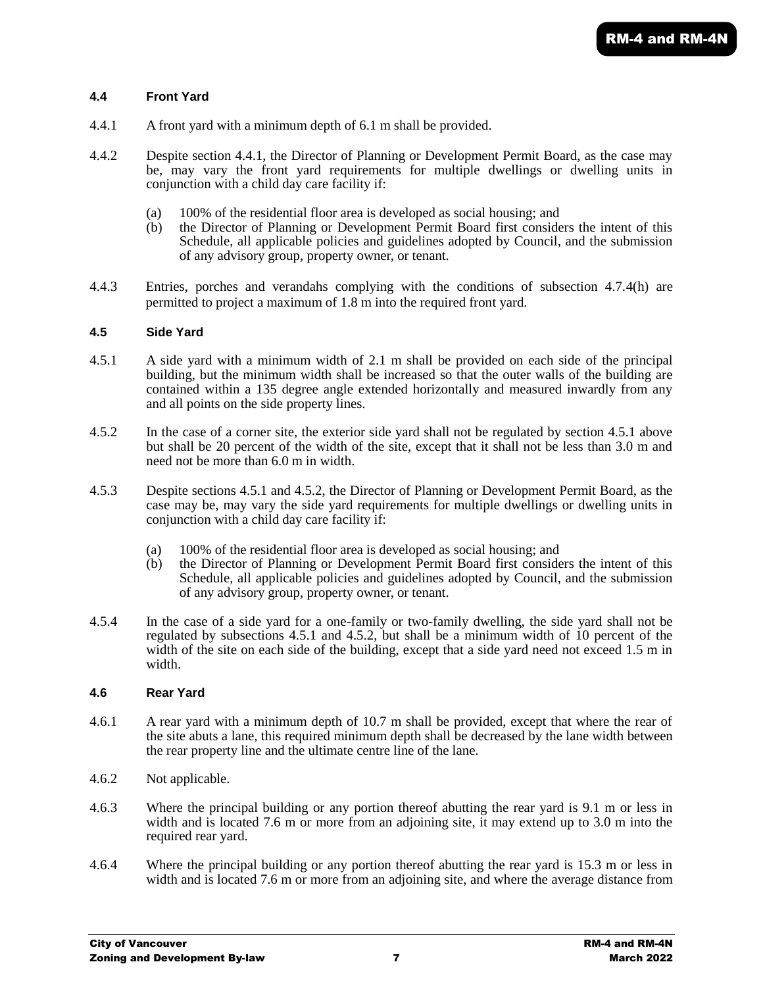## **4.4 Front Yard**

- 4.4.1 A front yard with a minimum depth of 6.1 m shall be provided.
- 4.4.2 Despite section 4.4.1, the Director of Planning or Development Permit Board, as the case may be, may vary the front yard requirements for multiple dwellings or dwelling units in conjunction with a child day care facility if:
	- (a) 100% of the residential floor area is developed as social housing; and
	- (b) the Director of Planning or Development Permit Board first considers the intent of this Schedule, all applicable policies and guidelines adopted by Council, and the submission of any advisory group, property owner, or tenant.
- 4.4.3 Entries, porches and verandahs complying with the conditions of subsection 4.7.4(h) are permitted to project a maximum of 1.8 m into the required front yard.

## **4.5 Side Yard**

- 4.5.1 A side yard with a minimum width of 2.1 m shall be provided on each side of the principal building, but the minimum width shall be increased so that the outer walls of the building are contained within a 135 degree angle extended horizontally and measured inwardly from any and all points on the side property lines.
- 4.5.2 In the case of a corner site, the exterior side yard shall not be regulated by section 4.5.1 above but shall be 20 percent of the width of the site, except that it shall not be less than 3.0 m and need not be more than 6.0 m in width.
- 4.5.3 Despite sections 4.5.1 and 4.5.2, the Director of Planning or Development Permit Board, as the case may be, may vary the side yard requirements for multiple dwellings or dwelling units in conjunction with a child day care facility if:
	- (a) 100% of the residential floor area is developed as social housing; and
	- (b) the Director of Planning or Development Permit Board first considers the intent of this Schedule, all applicable policies and guidelines adopted by Council, and the submission of any advisory group, property owner, or tenant.
- 4.5.4 In the case of a side yard for a one-family or two-family dwelling, the side yard shall not be regulated by subsections 4.5.1 and 4.5.2, but shall be a minimum width of 10 percent of the width of the site on each side of the building, except that a side yard need not exceed 1.5 m in width.

#### **4.6 Rear Yard**

- 4.6.1 A rear yard with a minimum depth of 10.7 m shall be provided, except that where the rear of the site abuts a lane, this required minimum depth shall be decreased by the lane width between the rear property line and the ultimate centre line of the lane.
- 4.6.2 Not applicable.
- 4.6.3 Where the principal building or any portion thereof abutting the rear yard is 9.1 m or less in width and is located 7.6 m or more from an adjoining site, it may extend up to 3.0 m into the required rear yard.
- 4.6.4 Where the principal building or any portion thereof abutting the rear yard is 15.3 m or less in width and is located 7.6 m or more from an adjoining site, and where the average distance from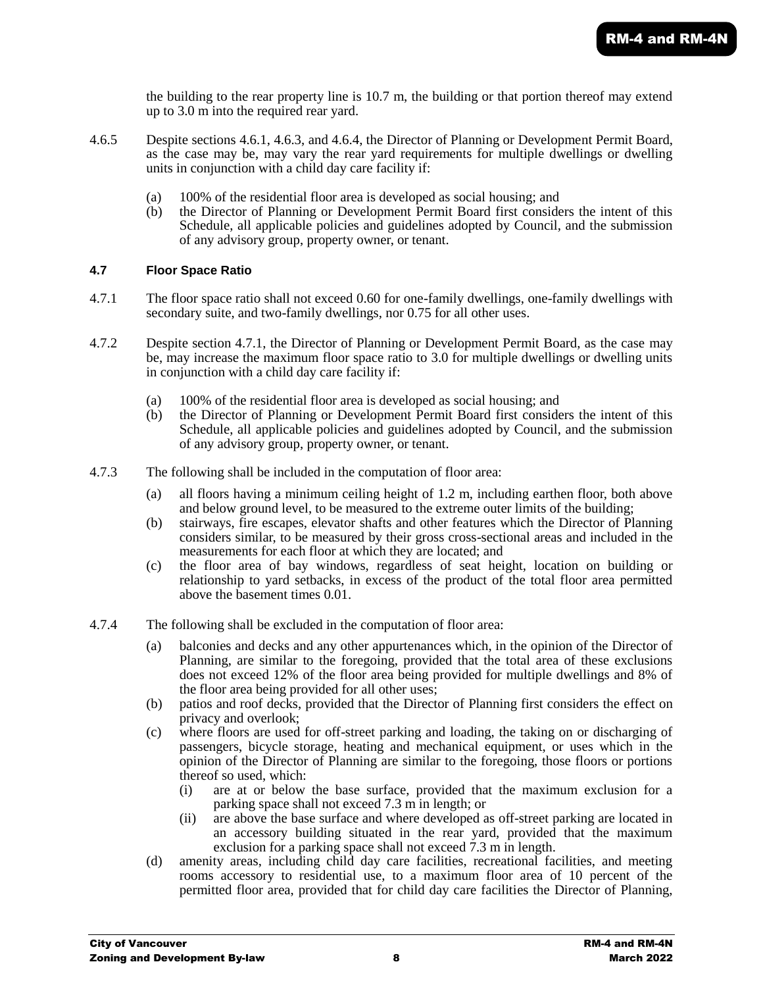the building to the rear property line is 10.7 m, the building or that portion thereof may extend up to 3.0 m into the required rear yard.

- 4.6.5 Despite sections 4.6.1, 4.6.3, and 4.6.4, the Director of Planning or Development Permit Board, as the case may be, may vary the rear yard requirements for multiple dwellings or dwelling units in conjunction with a child day care facility if:
	- (a) 100% of the residential floor area is developed as social housing; and
	- (b) the Director of Planning or Development Permit Board first considers the intent of this Schedule, all applicable policies and guidelines adopted by Council, and the submission of any advisory group, property owner, or tenant.

## **4.7 Floor Space Ratio**

- 4.7.1 The floor space ratio shall not exceed 0.60 for one-family dwellings, one-family dwellings with secondary suite, and two-family dwellings, nor 0.75 for all other uses.
- 4.7.2 Despite section 4.7.1, the Director of Planning or Development Permit Board, as the case may be, may increase the maximum floor space ratio to 3.0 for multiple dwellings or dwelling units in conjunction with a child day care facility if:
	- (a) 100% of the residential floor area is developed as social housing; and
	- (b) the Director of Planning or Development Permit Board first considers the intent of this Schedule, all applicable policies and guidelines adopted by Council, and the submission of any advisory group, property owner, or tenant.
- 4.7.3 The following shall be included in the computation of floor area:
	- (a) all floors having a minimum ceiling height of 1.2 m, including earthen floor, both above and below ground level, to be measured to the extreme outer limits of the building;
	- (b) stairways, fire escapes, elevator shafts and other features which the Director of Planning considers similar, to be measured by their gross cross-sectional areas and included in the measurements for each floor at which they are located; and
	- (c) the floor area of bay windows, regardless of seat height, location on building or relationship to yard setbacks, in excess of the product of the total floor area permitted above the basement times 0.01.
- 4.7.4 The following shall be excluded in the computation of floor area:
	- (a) balconies and decks and any other appurtenances which, in the opinion of the Director of Planning, are similar to the foregoing, provided that the total area of these exclusions does not exceed 12% of the floor area being provided for multiple dwellings and 8% of the floor area being provided for all other uses;
	- (b) patios and roof decks, provided that the Director of Planning first considers the effect on privacy and overlook;
	- (c) where floors are used for off-street parking and loading, the taking on or discharging of passengers, bicycle storage, heating and mechanical equipment, or uses which in the opinion of the Director of Planning are similar to the foregoing, those floors or portions thereof so used, which:
		- (i) are at or below the base surface, provided that the maximum exclusion for a parking space shall not exceed 7.3 m in length; or
		- (ii) are above the base surface and where developed as off-street parking are located in an accessory building situated in the rear yard, provided that the maximum exclusion for a parking space shall not exceed 7.3 m in length.
	- (d) amenity areas, including child day care facilities, recreational facilities, and meeting rooms accessory to residential use, to a maximum floor area of 10 percent of the permitted floor area, provided that for child day care facilities the Director of Planning,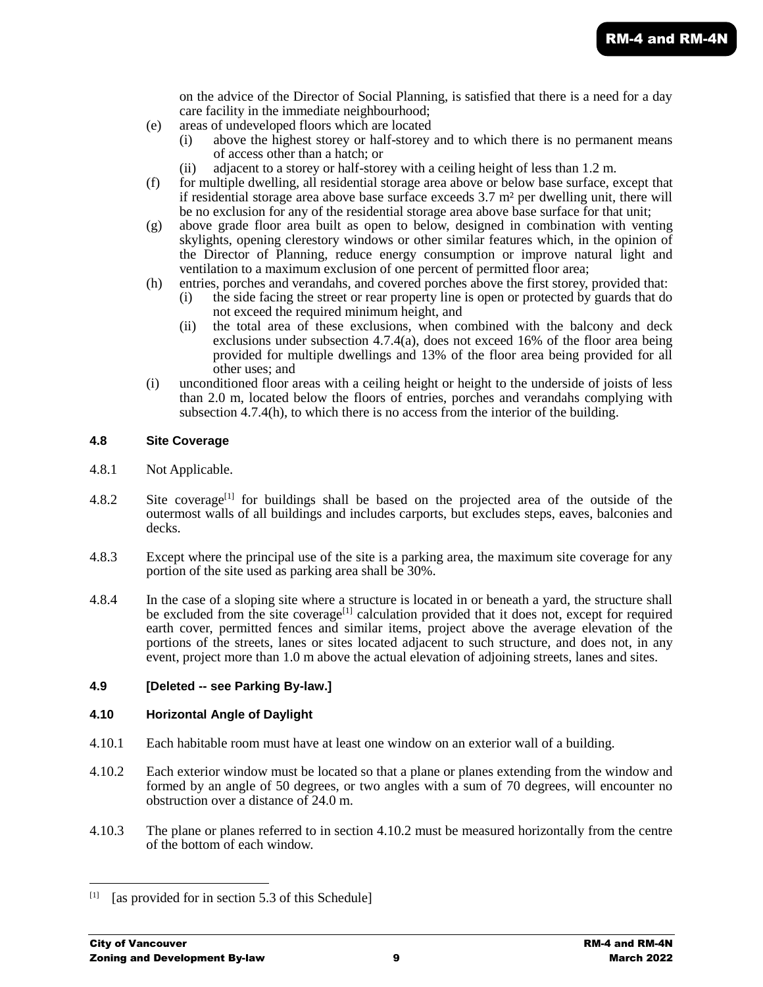on the advice of the Director of Social Planning, is satisfied that there is a need for a day care facility in the immediate neighbourhood;

- (e) areas of undeveloped floors which are located
	- (i) above the highest storey or half-storey and to which there is no permanent means of access other than a hatch; or
	- (ii) adjacent to a storey or half-storey with a ceiling height of less than 1.2 m.
- (f) for multiple dwelling, all residential storage area above or below base surface, except that if residential storage area above base surface exceeds 3.7 m² per dwelling unit, there will be no exclusion for any of the residential storage area above base surface for that unit;
- (g) above grade floor area built as open to below, designed in combination with venting skylights, opening clerestory windows or other similar features which, in the opinion of the Director of Planning, reduce energy consumption or improve natural light and ventilation to a maximum exclusion of one percent of permitted floor area;
- (h) entries, porches and verandahs, and covered porches above the first storey, provided that:
	- (i) the side facing the street or rear property line is open or protected by guards that do not exceed the required minimum height, and
	- (ii) the total area of these exclusions, when combined with the balcony and deck exclusions under subsection 4.7.4(a), does not exceed 16% of the floor area being provided for multiple dwellings and 13% of the floor area being provided for all other uses; and
- (i) unconditioned floor areas with a ceiling height or height to the underside of joists of less than 2.0 m, located below the floors of entries, porches and verandahs complying with subsection 4.7.4(h), to which there is no access from the interior of the building.

## **4.8 Site Coverage**

- 4.8.1 Not Applicable.
- 4.8.2 Site coverage<sup>[1]</sup> for buildings shall be based on the projected area of the outside of the outermost walls of all buildings and includes carports, but excludes steps, eaves, balconies and decks.
- 4.8.3 Except where the principal use of the site is a parking area, the maximum site coverage for any portion of the site used as parking area shall be 30%.
- 4.8.4 In the case of a sloping site where a structure is located in or beneath a yard, the structure shall be excluded from the site coverage<sup>[1]</sup> calculation provided that it does not, except for required earth cover, permitted fences and similar items, project above the average elevation of the portions of the streets, lanes or sites located adjacent to such structure, and does not, in any event, project more than 1.0 m above the actual elevation of adjoining streets, lanes and sites.

#### **4.9 [Deleted -- see Parking By-law.]**

## **4.10 Horizontal Angle of Daylight**

- 4.10.1 Each habitable room must have at least one window on an exterior wall of a building.
- 4.10.2 Each exterior window must be located so that a plane or planes extending from the window and formed by an angle of 50 degrees, or two angles with a sum of 70 degrees, will encounter no obstruction over a distance of 24.0 m.
- 4.10.3 The plane or planes referred to in section 4.10.2 must be measured horizontally from the centre of the bottom of each window.

l

<sup>[1]</sup> [as provided for in section 5.3 of this Schedule]